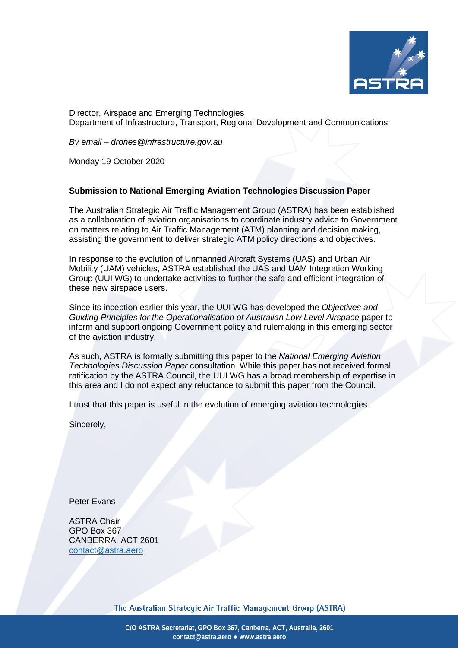

Director, Airspace and Emerging Technologies Department of Infrastructure, Transport, Regional Development and Communications

*By email – drones@infrastructure.gov.au*

Monday 19 October 2020

#### **Submission to National Emerging Aviation Technologies Discussion Paper**

The Australian Strategic Air Traffic Management Group (ASTRA) has been established as a collaboration of aviation organisations to coordinate industry advice to Government on matters relating to Air Traffic Management (ATM) planning and decision making, assisting the government to deliver strategic ATM policy directions and objectives.

In response to the evolution of Unmanned Aircraft Systems (UAS) and Urban Air Mobility (UAM) vehicles, ASTRA established the UAS and UAM Integration Working Group (UUI WG) to undertake activities to further the safe and efficient integration of these new airspace users.

Since its inception earlier this year, the UUI WG has developed the *Objectives and Guiding Principles for the Operationalisation of Australian Low Level Airspace* paper to inform and support ongoing Government policy and rulemaking in this emerging sector of the aviation industry.

As such, ASTRA is formally submitting this paper to the *National Emerging Aviation Technologies Discussion Paper* consultation. While this paper has not received formal ratification by the ASTRA Council, the UUI WG has a broad membership of expertise in this area and I do not expect any reluctance to submit this paper from the Council.

I trust that this paper is useful in the evolution of emerging aviation technologies.

Sincerely,

Peter Evans

ASTRA Chair GPO Box 367 CANBERRA, ACT 2601 [contact@astra.aero](mailto:contact@astra.aero)

The Australian Strategic Air Traffic Management Group (ASTRA)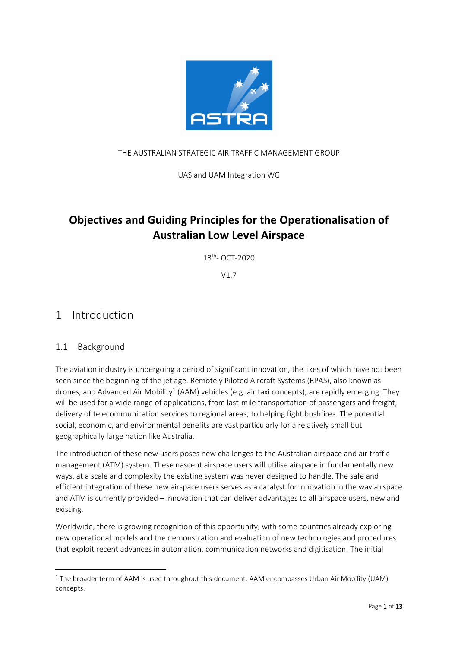

### THE AUSTRALIAN STRATEGIC AIR TRAFFIC MANAGEMENT GROUP

UAS and UAM Integration WG

# **Objectives and Guiding Principles for the Operationalisation of Australian Low Level Airspace**

13th- OCT-2020

V1.7

## 1 Introduction

## 1.1 Background

The aviation industry is undergoing a period of significant innovation, the likes of which have not been seen since the beginning of the jet age. Remotely Piloted Aircraft Systems (RPAS), also known as drones, and Advanced Air Mobility<sup>[1](#page-1-0)</sup> (AAM) vehicles (e.g. air taxi concepts), are rapidly emerging. They will be used for a wide range of applications, from last-mile transportation of passengers and freight, delivery of telecommunication services to regional areas, to helping fight bushfires. The potential social, economic, and environmental benefits are vast particularly for a relatively small but geographically large nation like Australia.

The introduction of these new users poses new challenges to the Australian airspace and air traffic management (ATM) system. These nascent airspace users will utilise airspace in fundamentally new ways, at a scale and complexity the existing system was never designed to handle. The safe and efficient integration of these new airspace users serves as a catalyst for innovation in the way airspace and ATM is currently provided – innovation that can deliver advantages to all airspace users, new and existing.

Worldwide, there is growing recognition of this opportunity, with some countries already exploring new operational models and the demonstration and evaluation of new technologies and procedures that exploit recent advances in automation, communication networks and digitisation. The initial

<span id="page-1-0"></span><sup>&</sup>lt;sup>1</sup> The broader term of AAM is used throughout this document. AAM encompasses Urban Air Mobility (UAM) concepts.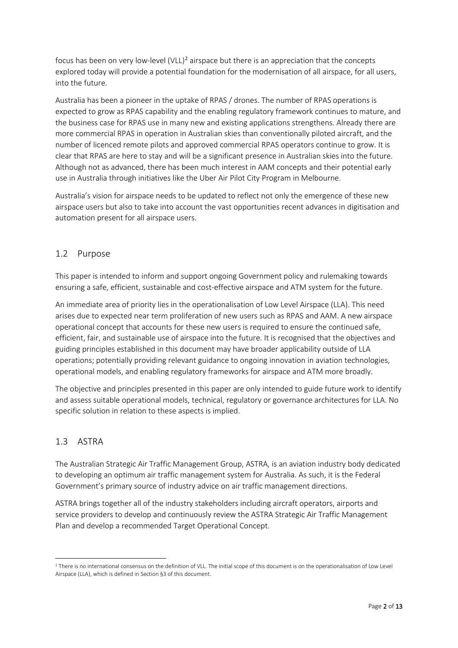focus has been on very low-level  $(VLL)^2$  $(VLL)^2$  airspace but there is an appreciation that the concepts explored today will provide a potential foundation for the modernisation of all airspace, for all users, into the future.

Australia has been a pioneer in the uptake of RPAS / drones. The number of RPAS operations is expected to grow as RPAS capability and the enabling regulatory framework continues to mature, and the business case for RPAS use in many new and existing applications strengthens. Already there are more commercial RPAS in operation in Australian skies than conventionally piloted aircraft, and the number of licenced remote pilots and approved commercial RPAS operators continue to grow. It is clear that RPAS are here to stay and will be a significant presence in Australian skies into the future. Although not as advanced, there has been much interest in AAM concepts and their potential early use in Australia through initiatives like the Uber Air Pilot City Program in Melbourne.

Australia's vision for airspace needs to be updated to reflect not only the emergence of these new airspace users but also to take into account the vast opportunities recent advances in digitisation and automation present for all airspace users.

#### 1.2 Purpose

This paper is intended to inform and support ongoing Government policy and rulemaking towards ensuring a safe, efficient, sustainable and cost-effective airspace and ATM system for the future.

An immediate area of priority lies in the operationalisation of Low Level Airspace (LLA). This need arises due to expected near term proliferation of new users such as RPAS and AAM. A new airspace operational concept that accounts for these new users is required to ensure the continued safe, efficient, fair, and sustainable use of airspace into the future. It is recognised that the objectives and guiding principles established in this document may have broader applicability outside of LLA operations; potentially providing relevant guidance to ongoing innovation in aviation technologies, operational models, and enabling regulatory frameworks for airspace and ATM more broadly.

The objective and principles presented in this paper are only intended to guide future work to identify and assess suitable operational models, technical, regulatory or governance architectures for LLA. No specific solution in relation to these aspects is implied.

#### 1.3 ASTRA

The Australian Strategic Air Traffic Management Group, ASTRA, is an aviation industry body dedicated to developing an optimum air traffic management system for Australia. As such, it is the Federal Government's primary source of industry advice on air traffic management directions.

ASTRA brings together all of the industry stakeholders including aircraft operators, airports and service providers to develop and continuously review the ASTRA Strategic Air Traffic Management Plan and develop a recommended Target Operational Concept.

<span id="page-2-0"></span><sup>&</sup>lt;sup>2</sup> There is no international consensus on the definition of VLL. The initial scope of this document is on the operationalisation of Low Level Airspace (LLA), which is defined in Section [§3](#page-6-0) of this document.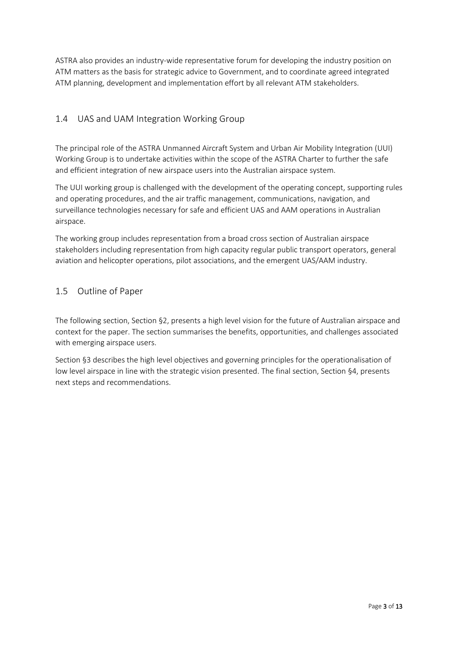ASTRA also provides an industry-wide representative forum for developing the industry position on ATM matters as the basis for strategic advice to Government, and to coordinate agreed integrated ATM planning, development and implementation effort by all relevant ATM stakeholders.

## 1.4 UAS and UAM Integration Working Group

The principal role of the ASTRA Unmanned Aircraft System and Urban Air Mobility Integration (UUI) Working Group is to undertake activities within the scope of the ASTRA Charter to further the safe and efficient integration of new airspace users into the Australian airspace system.

The UUI working group is challenged with the development of the operating concept, supporting rules and operating procedures, and the air traffic management, communications, navigation, and surveillance technologies necessary for safe and efficient UAS and AAM operations in Australian airspace.

The working group includes representation from a broad cross section of Australian airspace stakeholders including representation from high capacity regular public transport operators, general aviation and helicopter operations, pilot associations, and the emergent UAS/AAM industry.

## 1.5 Outline of Paper

The following section, Section [§2,](#page-4-0) presents a high level vision for the future of Australian airspace and context for the paper. The section summarises the benefits, opportunities, and challenges associated with emerging airspace users.

Section [§3](#page-6-0) describes the high level objectives and governing principles for the operationalisation of low level airspace in line with the strategic vision presented. The final section, Section [§4,](#page-11-0) presents next steps and recommendations.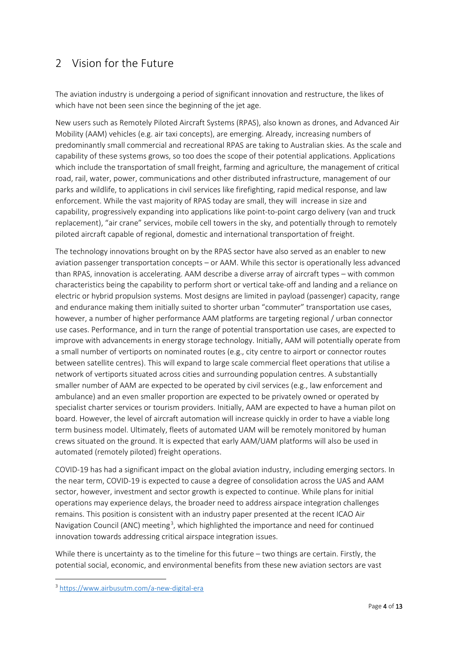# <span id="page-4-0"></span>2 Vision for the Future

The aviation industry is undergoing a period of significant innovation and restructure, the likes of which have not been seen since the beginning of the jet age.

New users such as Remotely Piloted Aircraft Systems (RPAS), also known as drones, and Advanced Air Mobility (AAM) vehicles (e.g. air taxi concepts), are emerging. Already, increasing numbers of predominantly small commercial and recreational RPAS are taking to Australian skies. As the scale and capability of these systems grows, so too does the scope of their potential applications. Applications which include the transportation of small freight, farming and agriculture, the management of critical road, rail, water, power, communications and other distributed infrastructure, management of our parks and wildlife, to applications in civil services like firefighting, rapid medical response, and law enforcement. While the vast majority of RPAS today are small, they will increase in size and capability, progressively expanding into applications like point-to-point cargo delivery (van and truck replacement), "air crane" services, mobile cell towers in the sky, and potentially through to remotely piloted aircraft capable of regional, domestic and international transportation of freight.

The technology innovations brought on by the RPAS sector have also served as an enabler to new aviation passenger transportation concepts – or AAM. While this sector is operationally less advanced than RPAS, innovation is accelerating. AAM describe a diverse array of aircraft types – with common characteristics being the capability to perform short or vertical take-off and landing and a reliance on electric or hybrid propulsion systems. Most designs are limited in payload (passenger) capacity, range and endurance making them initially suited to shorter urban "commuter" transportation use cases, however, a number of higher performance AAM platforms are targeting regional / urban connector use cases. Performance, and in turn the range of potential transportation use cases, are expected to improve with advancements in energy storage technology. Initially, AAM will potentially operate from a small number of vertiports on nominated routes (e.g., city centre to airport or connector routes between satellite centres). This will expand to large scale commercial fleet operations that utilise a network of vertiports situated across cities and surrounding population centres. A substantially smaller number of AAM are expected to be operated by civil services (e.g., law enforcement and ambulance) and an even smaller proportion are expected to be privately owned or operated by specialist charter services or tourism providers. Initially, AAM are expected to have a human pilot on board. However, the level of aircraft automation will increase quickly in order to have a viable long term business model. Ultimately, fleets of automated UAM will be remotely monitored by human crews situated on the ground. It is expected that early AAM/UAM platforms will also be used in automated (remotely piloted) freight operations.

COVID-19 has had a significant impact on the global aviation industry, including emerging sectors. In the near term, COVID-19 is expected to cause a degree of consolidation across the UAS and AAM sector, however, investment and sector growth is expected to continue. While plans for initial operations may experience delays, the broader need to address airspace integration challenges remains. This position is consistent with an industry paper presented at the recent ICAO Air Navigation Council (ANC) meeting<sup>[3](#page-4-1)</sup>, which highlighted the importance and need for continued innovation towards addressing critical airspace integration issues.

While there is uncertainty as to the timeline for this future – two things are certain. Firstly, the potential social, economic, and environmental benefits from these new aviation sectors are vast

<span id="page-4-1"></span><sup>3</sup> https://www.airbusutm.com/a-new-digital-era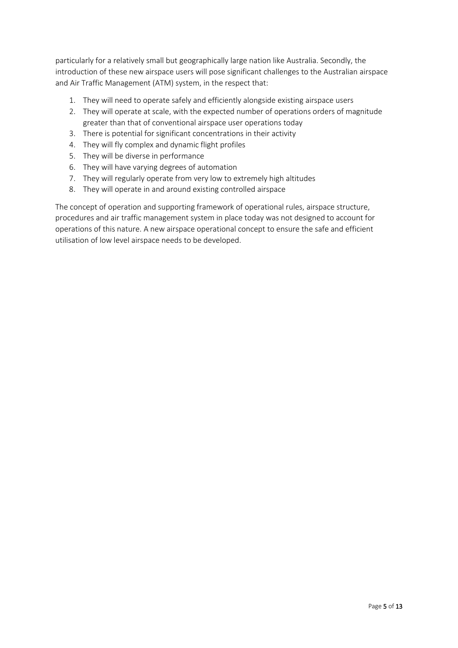particularly for a relatively small but geographically large nation like Australia. Secondly, the introduction of these new airspace users will pose significant challenges to the Australian airspace and Air Traffic Management (ATM) system, in the respect that:

- 1. They will need to operate safely and efficiently alongside existing airspace users
- 2. They will operate at scale, with the expected number of operations orders of magnitude greater than that of conventional airspace user operations today
- 3. There is potential for significant concentrations in their activity
- 4. They will fly complex and dynamic flight profiles
- 5. They will be diverse in performance
- 6. They will have varying degrees of automation
- 7. They will regularly operate from very low to extremely high altitudes
- 8. They will operate in and around existing controlled airspace

The concept of operation and supporting framework of operational rules, airspace structure, procedures and air traffic management system in place today was not designed to account for operations of this nature. A new airspace operational concept to ensure the safe and efficient utilisation of low level airspace needs to be developed.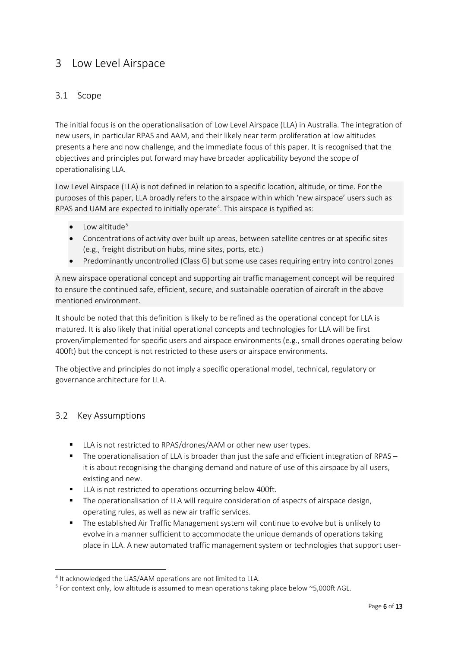## <span id="page-6-0"></span>3 Low Level Airspace

## 3.1 Scope

The initial focus is on the operationalisation of Low Level Airspace (LLA) in Australia. The integration of new users, in particular RPAS and AAM, and their likely near term proliferation at low altitudes presents a here and now challenge, and the immediate focus of this paper. It is recognised that the objectives and principles put forward may have broader applicability beyond the scope of operationalising LLA.

Low Level Airspace (LLA) is not defined in relation to a specific location, altitude, or time. For the purposes of this paper, LLA broadly refers to the airspace within which 'new airspace' users such as RPAS and UAM are expected to initially operate<sup>4</sup>. This airspace is typified as:

- Low altitude<sup>[5](#page-6-2)</sup>
- Concentrations of activity over built up areas, between satellite centres or at specific sites (e.g., freight distribution hubs, mine sites, ports, etc.)
- Predominantly uncontrolled (Class G) but some use cases requiring entry into control zones

A new airspace operational concept and supporting air traffic management concept will be required to ensure the continued safe, efficient, secure, and sustainable operation of aircraft in the above mentioned environment.

It should be noted that this definition is likely to be refined as the operational concept for LLA is matured. It is also likely that initial operational concepts and technologies for LLA will be first proven/implemented for specific users and airspace environments (e.g., small drones operating below 400ft) but the concept is not restricted to these users or airspace environments.

The objective and principles do not imply a specific operational model, technical, regulatory or governance architecture for LLA.

#### 3.2 Key Assumptions

- LLA is not restricted to RPAS/drones/AAM or other new user types.
- The operationalisation of LLA is broader than just the safe and efficient integration of RPAS it is about recognising the changing demand and nature of use of this airspace by all users, existing and new.
- **LLA** is not restricted to operations occurring below 400ft.
- **The operationalisation of LLA will require consideration of aspects of airspace design,** operating rules, as well as new air traffic services.
- The established Air Traffic Management system will continue to evolve but is unlikely to evolve in a manner sufficient to accommodate the unique demands of operations taking place in LLA. A new automated traffic management system or technologies that support user-

<span id="page-6-1"></span><sup>&</sup>lt;sup>4</sup> It acknowledged the UAS/AAM operations are not limited to LLA.

<span id="page-6-2"></span> $5$  For context only, low altitude is assumed to mean operations taking place below  $\approx$  5,000ft AGL.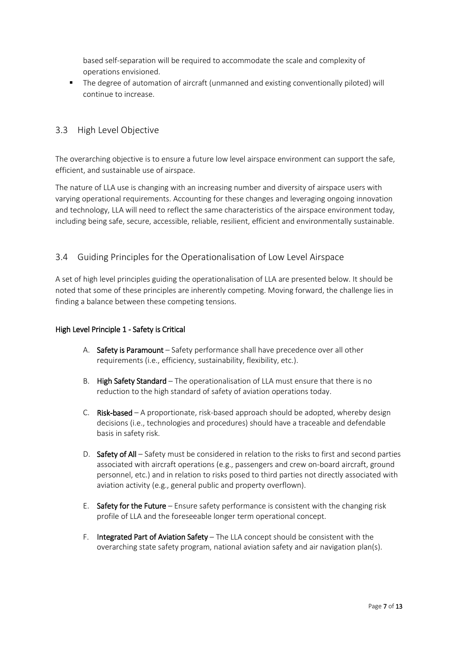based self-separation will be required to accommodate the scale and complexity of operations envisioned.

 The degree of automation of aircraft (unmanned and existing conventionally piloted) will continue to increase.

## 3.3 High Level Objective

The overarching objective is to ensure a future low level airspace environment can support the safe, efficient, and sustainable use of airspace.

The nature of LLA use is changing with an increasing number and diversity of airspace users with varying operational requirements. Accounting for these changes and leveraging ongoing innovation and technology, LLA will need to reflect the same characteristics of the airspace environment today, including being safe, secure, accessible, reliable, resilient, efficient and environmentally sustainable.

## 3.4 Guiding Principles for the Operationalisation of Low Level Airspace

A set of high level principles guiding the operationalisation of LLA are presented below. It should be noted that some of these principles are inherently competing. Moving forward, the challenge lies in finding a balance between these competing tensions.

#### High Level Principle 1 - Safety is Critical

- A. Safety is Paramount Safety performance shall have precedence over all other requirements (i.e., efficiency, sustainability, flexibility, etc.).
- B. High Safety Standard The operationalisation of LLA must ensure that there is no reduction to the high standard of safety of aviation operations today.
- C. Risk-based A proportionate, risk-based approach should be adopted, whereby design decisions (i.e., technologies and procedures) should have a traceable and defendable basis in safety risk.
- D. Safety of All Safety must be considered in relation to the risks to first and second parties associated with aircraft operations (e.g., passengers and crew on-board aircraft, ground personnel, etc.) and in relation to risks posed to third parties not directly associated with aviation activity (e.g., general public and property overflown).
- E. Safety for the Future Ensure safety performance is consistent with the changing risk profile of LLA and the foreseeable longer term operational concept.
- F. Integrated Part of Aviation Safety The LLA concept should be consistent with the overarching state safety program, national aviation safety and air navigation plan(s).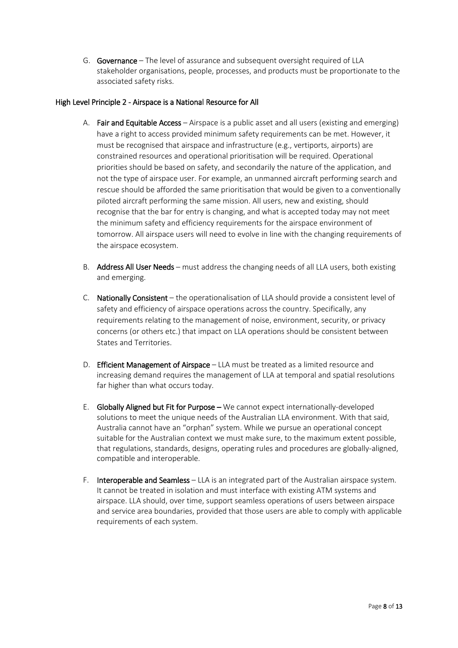G. Governance – The level of assurance and subsequent oversight required of LLA stakeholder organisations, people, processes, and products must be proportionate to the associated safety risks.

#### High Level Principle 2 - Airspace is a National Resource for All

- A. Fair and Equitable Access Airspace is a public asset and all users (existing and emerging) have a right to access provided minimum safety requirements can be met. However, it must be recognised that airspace and infrastructure (e.g., vertiports, airports) are constrained resources and operational prioritisation will be required. Operational priorities should be based on safety, and secondarily the nature of the application, and not the type of airspace user. For example, an unmanned aircraft performing search and rescue should be afforded the same prioritisation that would be given to a conventionally piloted aircraft performing the same mission. All users, new and existing, should recognise that the bar for entry is changing, and what is accepted today may not meet the minimum safety and efficiency requirements for the airspace environment of tomorrow. All airspace users will need to evolve in line with the changing requirements of the airspace ecosystem.
- B. Address All User Needs must address the changing needs of all LLA users, both existing and emerging.
- C. Nationally Consistent the operationalisation of LLA should provide a consistent level of safety and efficiency of airspace operations across the country. Specifically, any requirements relating to the management of noise, environment, security, or privacy concerns (or others etc.) that impact on LLA operations should be consistent between States and Territories.
- D. **Efficient Management of Airspace** LLA must be treated as a limited resource and increasing demand requires the management of LLA at temporal and spatial resolutions far higher than what occurs today.
- E. Globally Aligned but Fit for Purpose We cannot expect internationally-developed solutions to meet the unique needs of the Australian LLA environment. With that said, Australia cannot have an "orphan" system. While we pursue an operational concept suitable for the Australian context we must make sure, to the maximum extent possible, that regulations, standards, designs, operating rules and procedures are globally-aligned, compatible and interoperable.
- F. Interoperable and Seamless LLA is an integrated part of the Australian airspace system. It cannot be treated in isolation and must interface with existing ATM systems and airspace. LLA should, over time, support seamless operations of users between airspace and service area boundaries, provided that those users are able to comply with applicable requirements of each system.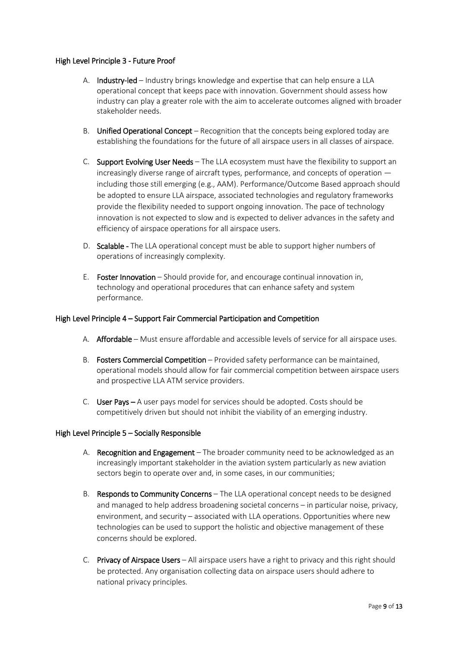#### High Level Principle 3 - Future Proof

- A. Industry-led Industry brings knowledge and expertise that can help ensure a LLA operational concept that keeps pace with innovation. Government should assess how industry can play a greater role with the aim to accelerate outcomes aligned with broader stakeholder needs.
- B. Unified Operational Concept Recognition that the concepts being explored today are establishing the foundations for the future of all airspace users in all classes of airspace.
- C. Support Evolving User Needs The LLA ecosystem must have the flexibility to support an increasingly diverse range of aircraft types, performance, and concepts of operation including those still emerging (e.g., AAM). Performance/Outcome Based approach should be adopted to ensure LLA airspace, associated technologies and regulatory frameworks provide the flexibility needed to support ongoing innovation. The pace of technology innovation is not expected to slow and is expected to deliver advances in the safety and efficiency of airspace operations for all airspace users.
- D. Scalable The LLA operational concept must be able to support higher numbers of operations of increasingly complexity.
- E. Foster Innovation Should provide for, and encourage continual innovation in, technology and operational procedures that can enhance safety and system performance.

#### High Level Principle 4 – Support Fair Commercial Participation and Competition

- A. Affordable Must ensure affordable and accessible levels of service for all airspace uses.
- B. Fosters Commercial Competition Provided safety performance can be maintained, operational models should allow for fair commercial competition between airspace users and prospective LLA ATM service providers.
- C. User Pays A user pays model for services should be adopted. Costs should be competitively driven but should not inhibit the viability of an emerging industry.

#### High Level Principle 5 – Socially Responsible

- A. Recognition and Engagement The broader community need to be acknowledged as an increasingly important stakeholder in the aviation system particularly as new aviation sectors begin to operate over and, in some cases, in our communities;
- B. Responds to Community Concerns The LLA operational concept needs to be designed and managed to help address broadening societal concerns – in particular noise, privacy, environment, and security – associated with LLA operations. Opportunities where new technologies can be used to support the holistic and objective management of these concerns should be explored.
- C. Privacy of Airspace Users All airspace users have a right to privacy and this right should be protected. Any organisation collecting data on airspace users should adhere to national privacy principles.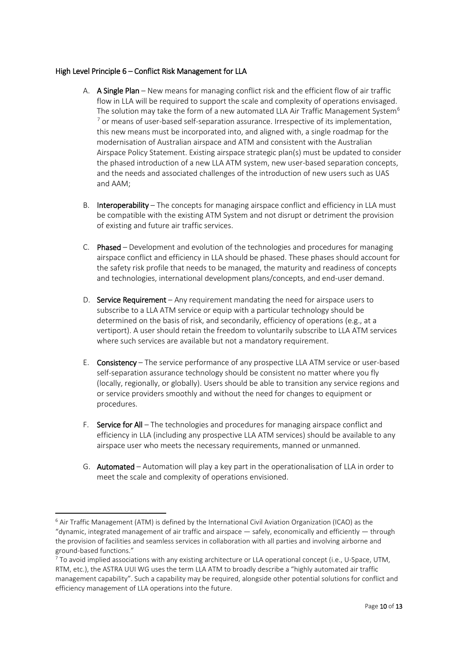#### High Level Principle 6 – Conflict Risk Management for LLA

- A. A Single Plan New means for managing conflict risk and the efficient flow of air traffic flow in LLA will be required to support the scale and complexity of operations envisaged. The solution may take the form of a new automated LLA Air Traffic Management System<sup>6</sup>  $<sup>7</sup>$  $<sup>7</sup>$  $<sup>7</sup>$  or means of user-based self-separation assurance. Irrespective of its implementation,</sup> this new means must be incorporated into, and aligned with, a single roadmap for the modernisation of Australian airspace and ATM and consistent with the Australian Airspace Policy Statement. Existing airspace strategic plan(s) must be updated to consider the phased introduction of a new LLA ATM system, new user-based separation concepts, and the needs and associated challenges of the introduction of new users such as UAS and AAM;
- B. Interoperability The concepts for managing airspace conflict and efficiency in LLA must be compatible with the existing ATM System and not disrupt or detriment the provision of existing and future air traffic services.
- C. Phased Development and evolution of the technologies and procedures for managing airspace conflict and efficiency in LLA should be phased. These phases should account for the safety risk profile that needs to be managed, the maturity and readiness of concepts and technologies, international development plans/concepts, and end-user demand.
- D. Service Requirement Any requirement mandating the need for airspace users to subscribe to a LLA ATM service or equip with a particular technology should be determined on the basis of risk, and secondarily, efficiency of operations (e.g., at a vertiport). A user should retain the freedom to voluntarily subscribe to LLA ATM services where such services are available but not a mandatory requirement.
- E. Consistency The service performance of any prospective LLA ATM service or user-based self-separation assurance technology should be consistent no matter where you fly (locally, regionally, or globally). Users should be able to transition any service regions and or service providers smoothly and without the need for changes to equipment or procedures.
- F. Service for All The technologies and procedures for managing airspace conflict and efficiency in LLA (including any prospective LLA ATM services) should be available to any airspace user who meets the necessary requirements, manned or unmanned.
- G. Automated Automation will play a key part in the operationalisation of LLA in order to meet the scale and complexity of operations envisioned.

<span id="page-10-0"></span> $6$  Air Traffic Management (ATM) is defined by the International Civil Aviation Organization (ICAO) as the "dynamic, integrated management of air traffic and airspace — safely, economically and efficiently — through the provision of facilities and seamless services in collaboration with all parties and involving airborne and ground-based functions."<br><sup>7</sup> To avoid implied associations with any existing architecture or LLA operational concept (i.e., U-Space, UTM,

<span id="page-10-1"></span>RTM, etc.), the ASTRA UUI WG uses the term LLA ATM to broadly describe a "highly automated air traffic management capability". Such a capability may be required, alongside other potential solutions for conflict and efficiency management of LLA operations into the future.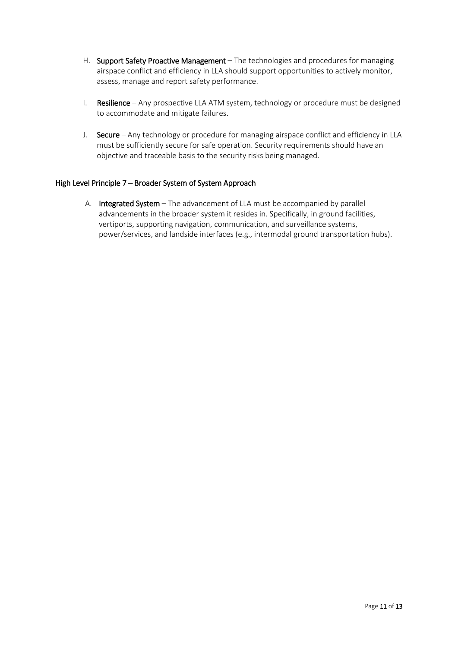- H. Support Safety Proactive Management The technologies and procedures for managing airspace conflict and efficiency in LLA should support opportunities to actively monitor, assess, manage and report safety performance.
- I. Resilience Any prospective LLA ATM system, technology or procedure must be designed to accommodate and mitigate failures.
- J. Secure Any technology or procedure for managing airspace conflict and efficiency in LLA must be sufficiently secure for safe operation. Security requirements should have an objective and traceable basis to the security risks being managed.

#### High Level Principle 7 – Broader System of System Approach

<span id="page-11-0"></span>A. Integrated System – The advancement of LLA must be accompanied by parallel advancements in the broader system it resides in. Specifically, in ground facilities, vertiports, supporting navigation, communication, and surveillance systems, power/services, and landside interfaces (e.g., intermodal ground transportation hubs).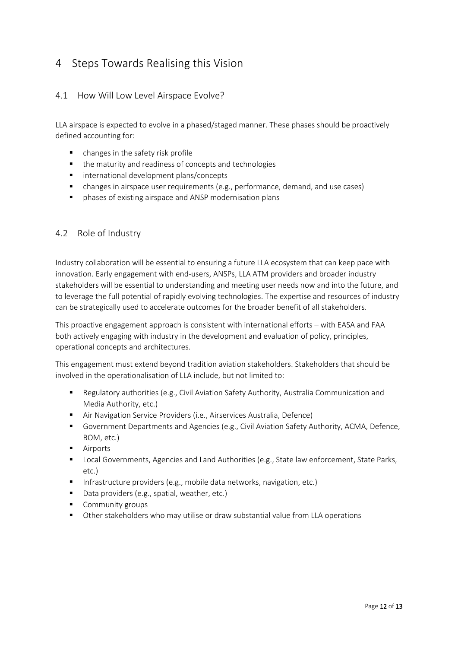# 4 Steps Towards Realising this Vision

## 4.1 How Will Low Level Airspace Evolve?

LLA airspace is expected to evolve in a phased/staged manner. These phases should be proactively defined accounting for:

- changes in the safety risk profile
- the maturity and readiness of concepts and technologies
- **International development plans/concepts**
- changes in airspace user requirements (e.g., performance, demand, and use cases)
- phases of existing airspace and ANSP modernisation plans

#### 4.2 Role of Industry

Industry collaboration will be essential to ensuring a future LLA ecosystem that can keep pace with innovation. Early engagement with end-users, ANSPs, LLA ATM providers and broader industry stakeholders will be essential to understanding and meeting user needs now and into the future, and to leverage the full potential of rapidly evolving technologies. The expertise and resources of industry can be strategically used to accelerate outcomes for the broader benefit of all stakeholders.

This proactive engagement approach is consistent with international efforts – with EASA and FAA both actively engaging with industry in the development and evaluation of policy, principles, operational concepts and architectures.

This engagement must extend beyond tradition aviation stakeholders. Stakeholders that should be involved in the operationalisation of LLA include, but not limited to:

- Regulatory authorities (e.g., Civil Aviation Safety Authority, Australia Communication and Media Authority, etc.)
- Air Navigation Service Providers (i.e., Airservices Australia, Defence)
- Government Departments and Agencies (e.g., Civil Aviation Safety Authority, ACMA, Defence, BOM, etc.)
- **Airports**
- **Local Governments, Agencies and Land Authorities (e.g., State law enforcement, State Parks,** etc.)
- Infrastructure providers (e.g., mobile data networks, navigation, etc.)
- Data providers (e.g., spatial, weather, etc.)
- Community groups
- Other stakeholders who may utilise or draw substantial value from LLA operations